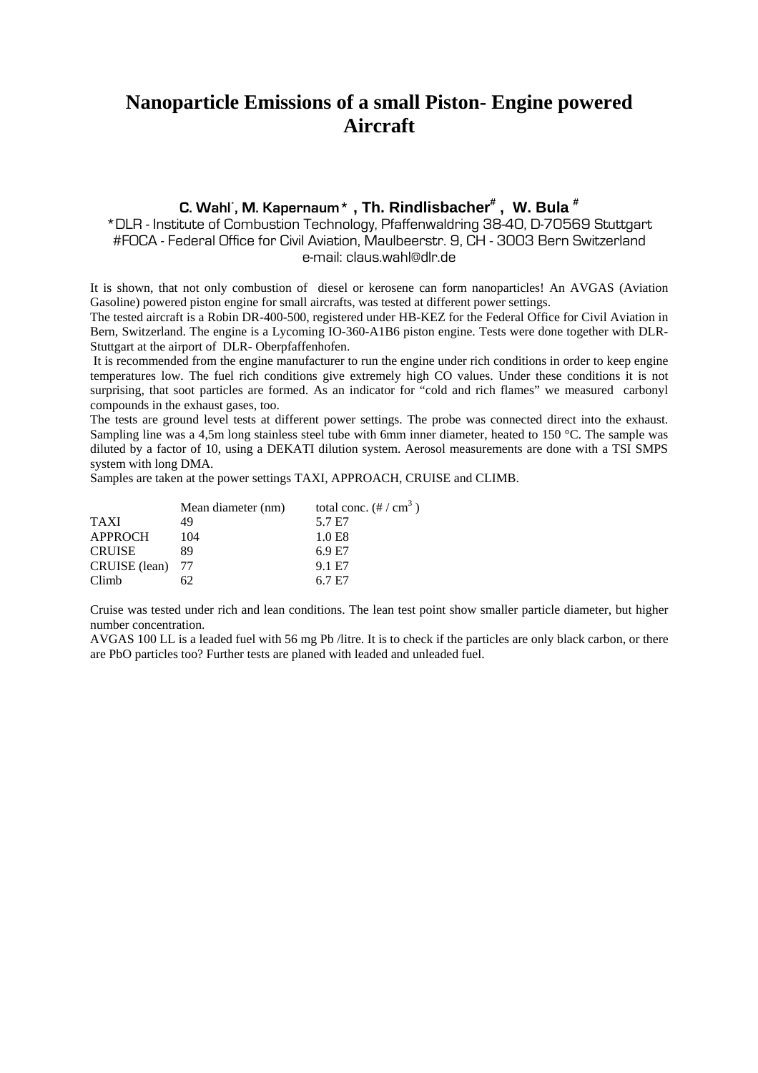## **Nanoparticle Emissions of a small Piston- Engine powered Aircraft**

### **C. Wahl\* , M. Kapernaum\* , Th. Rindlisbacher# , W. Bula #**

\*DLR - Institute of Combustion Technology, Pfaffenwaldring 38-40, D-70569 Stuttgart #FOCA - Federal Office for Civil Aviation, Maulbeerstr. 9, CH - 3003 Bern Switzerland e-mail: claus.wahl@dlr.de

It is shown, that not only combustion of diesel or kerosene can form nanoparticles! An AVGAS (Aviation Gasoline) powered piston engine for small aircrafts, was tested at different power settings.

The tested aircraft is a Robin DR-400-500, registered under HB-KEZ for the Federal Office for Civil Aviation in Bern, Switzerland. The engine is a Lycoming IO-360-A1B6 piston engine. Tests were done together with DLR-Stuttgart at the airport of DLR- Oberpfaffenhofen.

 It is recommended from the engine manufacturer to run the engine under rich conditions in order to keep engine temperatures low. The fuel rich conditions give extremely high CO values. Under these conditions it is not surprising, that soot particles are formed. As an indicator for "cold and rich flames" we measured carbonyl compounds in the exhaust gases, too.

The tests are ground level tests at different power settings. The probe was connected direct into the exhaust. Sampling line was a 4,5m long stainless steel tube with 6mm inner diameter, heated to 150 °C. The sample was diluted by a factor of 10, using a DEKATI dilution system. Aerosol measurements are done with a TSI SMPS system with long DMA.

)

Samples are taken at the power settings TAXI, APPROACH, CRUISE and CLIMB.

|                  | Mean diameter (nm) | total conc. $(\# / \text{ cm}^3)$ |  |  |
|------------------|--------------------|-----------------------------------|--|--|
| <b>TAXI</b>      | 49                 | 5.7 E7                            |  |  |
| APPROCH          | 104                | 1.0 E8                            |  |  |
| <b>CRUISE</b>    | 89                 | 6.9 E7                            |  |  |
| CRUISE (lean) 77 |                    | 9.1 E7                            |  |  |
| Climb            |                    | 6.7 E7                            |  |  |

Cruise was tested under rich and lean conditions. The lean test point show smaller particle diameter, but higher number concentration.

AVGAS 100 LL is a leaded fuel with 56 mg Pb /litre. It is to check if the particles are only black carbon, or there are PbO particles too? Further tests are planed with leaded and unleaded fuel.